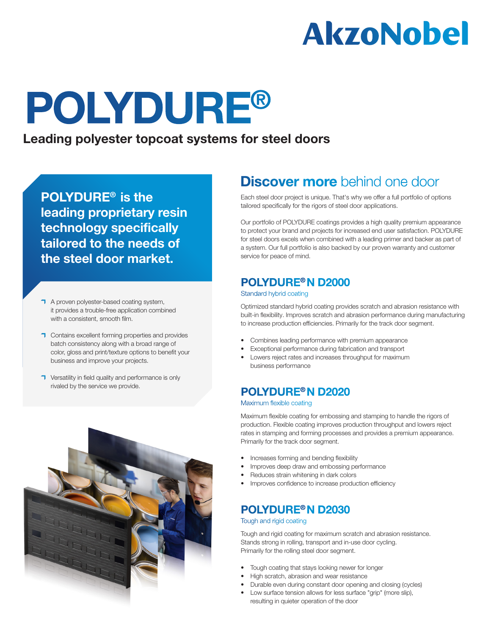

# **POLYDURE®**

Leading polyester topcoat systems for steel doors

POLYDURE® is the leading proprietary resin technology specifically tailored to the needs of the steel door market.

- **1** A proven polyester-based coating system, it provides a trouble-free application combined with a consistent, smooth film.
- **T** Contains excellent forming properties and provides batch consistency along with a broad range of color, gloss and print/texture options to benefit your business and improve your projects.
- **T** Versatility in field quality and performance is only rivaled by the service we provide.



# **Discover more** behind one door

Each steel door project is unique. That's why we offer a full portfolio of options tailored specifically for the rigors of steel door applications.

Our portfolio of POLYDURE coatings provides a high quality premium appearance to protect your brand and projects for increased end user satisfaction. POLYDURE for steel doors excels when combined with a leading primer and backer as part of a system. Our full portfolio is also backed by our proven warranty and customer service for peace of mind.

## POLYDURE® N D2000

#### Standard hybrid coating

Optimized standard hybrid coating provides scratch and abrasion resistance with built-in flexibility. Improves scratch and abrasion performance during manufacturing to increase production efficiencies. Primarily for the track door segment.

- Combines leading performance with premium appearance
- Exceptional performance during fabrication and transport
- Lowers reject rates and increases throughput for maximum business performance

## POLYDURE® N D2020

#### Maximum flexible coating

Maximum flexible coating for embossing and stamping to handle the rigors of production. Flexible coating improves production throughput and lowers reject rates in stamping and forming processes and provides a premium appearance. Primarily for the track door segment.

- Increases forming and bending flexibility
- Improves deep draw and embossing performance
- Reduces strain whitening in dark colors
- Improves confidence to increase production efficiency

## POLYDURE® N D2030

### Tough and rigid coating

Tough and rigid coating for maximum scratch and abrasion resistance. Stands strong in rolling, transport and in-use door cycling. Primarily for the rolling steel door segment.

- Tough coating that stays looking newer for longer
- High scratch, abrasion and wear resistance
- Durable even during constant door opening and closing (cycles)
- Low surface tension allows for less surface "grip" (more slip), resulting in quieter operation of the door